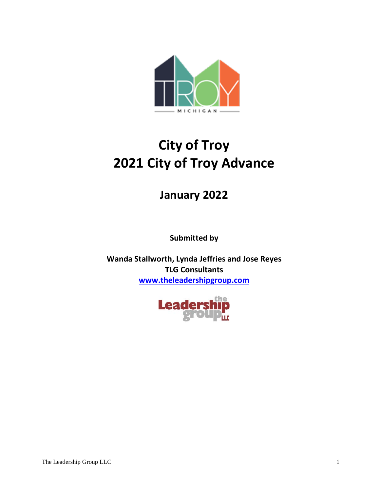

# **City of Troy 2021 City of Troy Advance**

# **January 2022**

**Submitted by**

**Wanda Stallworth, Lynda Jeffries and Jose Reyes TLG Consultants [www.theleadershipgroup.com](http://www.theleadershipgroup.com/)**

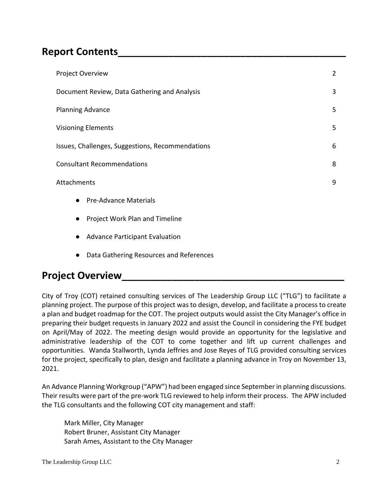# **Report Contents\_\_\_\_\_\_\_\_\_\_\_\_\_\_\_\_\_\_\_\_\_\_\_\_\_\_\_\_\_\_\_\_\_\_\_\_\_\_\_\_\_**

| $\overline{2}$ |
|----------------|
| 3              |
| 5              |
| 5              |
| 6              |
| 8              |
| 9              |
|                |
|                |
|                |
|                |

● Data Gathering Resources and References

# **Project Overview**

City of Troy (COT) retained consulting services of The Leadership Group LLC ("TLG") to facilitate a planning project. The purpose of this project was to design, develop, and facilitate a process to create a plan and budget roadmap for the COT. The project outputs would assist the City Manager's office in preparing their budget requests in January 2022 and assist the Council in considering the FYE budget on April/May of 2022. The meeting design would provide an opportunity for the legislative and administrative leadership of the COT to come together and lift up current challenges and opportunities. Wanda Stallworth, Lynda Jeffries and Jose Reyes of TLG provided consulting services for the project, specifically to plan, design and facilitate a planning advance in Troy on November 13, 2021.

An Advance Planning Workgroup ("APW") had been engaged since September in planning discussions. Their results were part of the pre-work TLG reviewed to help inform their process. The APW included the TLG consultants and the following COT city management and staff:

Mark Miller, City Manager Robert Bruner, Assistant City Manager Sarah Ames, Assistant to the City Manager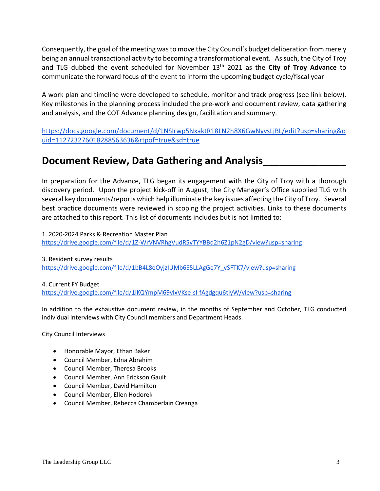Consequently, the goal of the meeting was to move the City Council's budget deliberation from merely being an annual transactional activity to becoming a transformational event. As such, the City of Troy and TLG dubbed the event scheduled for November 13th 2021 as the **City of Troy Advance** to communicate the forward focus of the event to inform the upcoming budget cycle/fiscal year

A work plan and timeline were developed to schedule, monitor and track progress (see link below). Key milestones in the planning process included the pre-work and document review, data gathering and analysis, and the COT Advance planning design, facilitation and summary.

[https://docs.google.com/document/d/1NSIrwp5NxaktR18LN2h8X6GwNyvsLjBL/edit?usp=sharing&o](https://docs.google.com/document/d/1NSIrwp5NxaktR18LN2h8X6GwNyvsLjBL/edit?usp=sharing&ouid=112723276018288563636&rtpof=true&sd=true) [uid=112723276018288563636&rtpof=true&sd=true](https://docs.google.com/document/d/1NSIrwp5NxaktR18LN2h8X6GwNyvsLjBL/edit?usp=sharing&ouid=112723276018288563636&rtpof=true&sd=true)

# **Document Review, Data Gathering and Analysis\_\_\_\_\_\_\_\_\_\_\_\_\_\_\_**

In preparation for the Advance, TLG began its engagement with the City of Troy with a thorough discovery period. Upon the project kick-off in August, the City Manager's Office supplied TLG with several key documents/reports which help illuminate the key issues affecting the City of Troy. Several best practice documents were reviewed in scoping the project activities. Links to these documents are attached to this report. This list of documents includes but is not limited to:

1. 2020-2024 Parks & Recreation Master Plan <https://drive.google.com/file/d/1Z-WrVNVRhgVudR5vTYYBBd2h6Z1pN2gD/view?usp=sharing>

3. Resident survey results [https://drive.google.com/file/d/1bB4L8eOyjzIUMb6S5LLAgGe7Y\\_ySFTK7/view?usp=sharing](https://drive.google.com/file/d/1bB4L8eOyjzIUMb6S5LLAgGe7Y_ySFTK7/view?usp=sharing)

#### 4. Current FY Budget

<https://drive.google.com/file/d/1lKQYmpM69vlxVKse-sl-fAgdgqu6tIyW/view?usp=sharing>

In addition to the exhaustive document review, in the months of September and October, TLG conducted individual interviews with City Council members and Department Heads.

City Council Interviews

- Honorable Mayor, Ethan Baker
- Council Member, Edna Abrahim
- Council Member, Theresa Brooks
- Council Member, Ann Erickson Gault
- Council Member, David Hamilton
- Council Member, Ellen Hodorek
- Council Member, Rebecca Chamberlain Creanga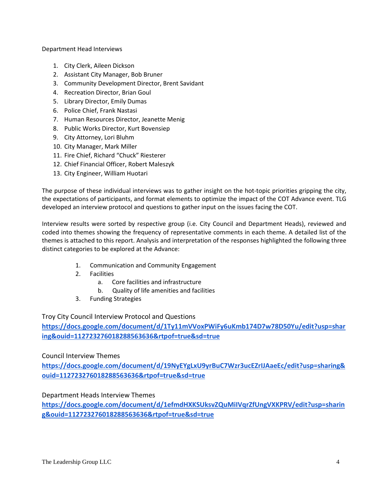Department Head Interviews

- 1. City Clerk, Aileen Dickson
- 2. Assistant City Manager, Bob Bruner
- 3. Community Development Director, Brent Savidant
- 4. Recreation Director, Brian Goul
- 5. Library Director, Emily Dumas
- 6. Police Chief, Frank Nastasi
- 7. Human Resources Director, Jeanette Menig
- 8. Public Works Director, Kurt Bovensiep
- 9. City Attorney, Lori Bluhm
- 10. City Manager, Mark Miller
- 11. Fire Chief, Richard "Chuck" Riesterer
- 12. Chief Financial Officer, Robert Maleszyk
- 13. City Engineer, William Huotari

The purpose of these individual interviews was to gather insight on the hot-topic priorities gripping the city, the expectations of participants, and format elements to optimize the impact of the COT Advance event. TLG developed an interview protocol and questions to gather input on the issues facing the COT.

Interview results were sorted by respective group (i.e. City Council and Department Heads), reviewed and coded into themes showing the frequency of representative comments in each theme. A detailed list of the themes is attached to this report. Analysis and interpretation of the responses highlighted the following three distinct categories to be explored at the Advance:

- 1. Communication and Community Engagement
- 2. Facilities
	- a. Core facilities and infrastructure
	- b. Quality of life amenities and facilities
- 3. Funding Strategies

Troy City Council Interview Protocol and Questions

**[https://docs.google.com/document/d/1Ty11mVVoxPWiFy6uKmb174D7w78D50Yu/edit?usp=shar](https://docs.google.com/document/d/1Ty11mVVoxPWiFy6uKmb174D7w78D50Yu/edit?usp=sharing&ouid=112723276018288563636&rtpof=true&sd=true) [ing&ouid=112723276018288563636&rtpof=true&sd=true](https://docs.google.com/document/d/1Ty11mVVoxPWiFy6uKmb174D7w78D50Yu/edit?usp=sharing&ouid=112723276018288563636&rtpof=true&sd=true)**

#### Council Interview Themes

**[https://docs.google.com/document/d/19NyEYgLxU9yrBuC7Wzr3ucEZrIJAaeEc/edit?usp=sharing&](https://docs.google.com/document/d/19NyEYgLxU9yrBuC7Wzr3ucEZrIJAaeEc/edit?usp=sharing&ouid=112723276018288563636&rtpof=true&sd=true) [ouid=112723276018288563636&rtpof=true&sd=true](https://docs.google.com/document/d/19NyEYgLxU9yrBuC7Wzr3ucEZrIJAaeEc/edit?usp=sharing&ouid=112723276018288563636&rtpof=true&sd=true)**

Department Heads Interview Themes

**[https://docs.google.com/document/d/1efmdHXKSUksvZQuMiIVqrZfUngVXKPRV/edit?usp=sharin](https://docs.google.com/document/d/1efmdHXKSUksvZQuMiIVqrZfUngVXKPRV/edit?usp=sharing&ouid=112723276018288563636&rtpof=true&sd=true) [g&ouid=112723276018288563636&rtpof=true&sd=true](https://docs.google.com/document/d/1efmdHXKSUksvZQuMiIVqrZfUngVXKPRV/edit?usp=sharing&ouid=112723276018288563636&rtpof=true&sd=true)**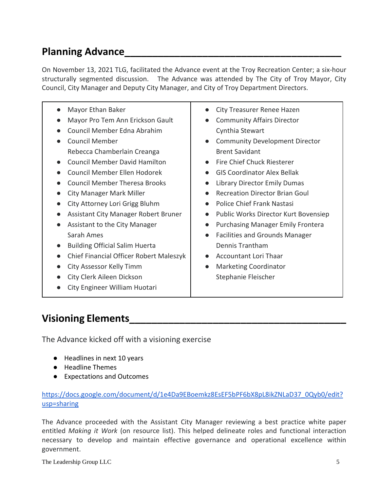# **Planning Advance**

On November 13, 2021 TLG, facilitated the Advance event at the Troy Recreation Center; a six-hour structurally segmented discussion. The Advance was attended by The City of Troy Mayor, City Council, City Manager and Deputy City Manager, and City of Troy Department Directors.

| Mayor Ethan Baker<br>Mayor Pro Tem Ann Erickson Gault<br>Council Member Edna Abrahim<br><b>Council Member</b><br>Rebecca Chamberlain Creanga<br><b>Council Member David Hamilton</b><br>Council Member Ellen Hodorek<br><b>Council Member Theresa Brooks</b><br><b>City Manager Mark Miller</b><br>City Attorney Lori Grigg Bluhm<br>Assistant City Manager Robert Bruner<br>Assistant to the City Manager<br>Sarah Ames<br><b>Building Official Salim Huerta</b><br>Chief Financial Officer Robert Maleszyk<br>City Assessor Kelly Timm<br>City Clerk Aileen Dickson<br>City Engineer William Huotari | City Treasurer Renee Hazen<br>$\bullet$<br><b>Community Affairs Director</b><br>$\bullet$<br>Cynthia Stewart<br><b>Community Development Director</b><br>$\bullet$<br><b>Brent Savidant</b><br>Fire Chief Chuck Riesterer<br>$\bullet$<br><b>GIS Coordinator Alex Bellak</b><br>$\bullet$<br><b>Library Director Emily Dumas</b><br>$\bullet$<br><b>Recreation Director Brian Goul</b><br>$\bullet$<br>Police Chief Frank Nastasi<br>$\bullet$<br>Public Works Director Kurt Bovensiep<br>$\bullet$<br><b>Purchasing Manager Emily Frontera</b><br>$\bullet$<br><b>Facilities and Grounds Manager</b><br>$\bullet$<br>Dennis Trantham<br>Accountant Lori Thaar<br>$\bullet$<br><b>Marketing Coordinator</b><br>$\bullet$<br>Stephanie Fleischer |
|--------------------------------------------------------------------------------------------------------------------------------------------------------------------------------------------------------------------------------------------------------------------------------------------------------------------------------------------------------------------------------------------------------------------------------------------------------------------------------------------------------------------------------------------------------------------------------------------------------|-------------------------------------------------------------------------------------------------------------------------------------------------------------------------------------------------------------------------------------------------------------------------------------------------------------------------------------------------------------------------------------------------------------------------------------------------------------------------------------------------------------------------------------------------------------------------------------------------------------------------------------------------------------------------------------------------------------------------------------------------|
|--------------------------------------------------------------------------------------------------------------------------------------------------------------------------------------------------------------------------------------------------------------------------------------------------------------------------------------------------------------------------------------------------------------------------------------------------------------------------------------------------------------------------------------------------------------------------------------------------------|-------------------------------------------------------------------------------------------------------------------------------------------------------------------------------------------------------------------------------------------------------------------------------------------------------------------------------------------------------------------------------------------------------------------------------------------------------------------------------------------------------------------------------------------------------------------------------------------------------------------------------------------------------------------------------------------------------------------------------------------------|

# **Visioning Elements\_\_\_\_\_\_\_\_\_\_\_\_\_\_\_\_\_\_\_\_\_\_\_\_\_\_\_\_\_\_\_\_\_\_\_\_\_\_\_**

The Advance kicked off with a visioning exercise

- Headlines in next 10 years
- Headline Themes
- Expectations and Outcomes

### [https://docs.google.com/document/d/1e4Da9EBoemkz8EsEF5bPF6bX8pL8ikZNLaD37\\_0Qyb0/edit?](https://docs.google.com/document/d/1e4Da9EBoemkz8EsEF5bPF6bX8pL8ikZNLaD37_0Qyb0/edit?usp=sharing) [usp=sharing](https://docs.google.com/document/d/1e4Da9EBoemkz8EsEF5bPF6bX8pL8ikZNLaD37_0Qyb0/edit?usp=sharing)

The Advance proceeded with the Assistant City Manager reviewing a best practice white paper entitled *Making it Work* (on resource list). This helped delineate roles and functional interaction necessary to develop and maintain effective governance and operational excellence within government.

The Leadership Group LLC 5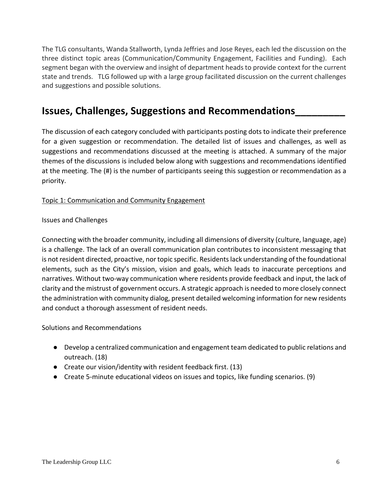The TLG consultants, Wanda Stallworth, Lynda Jeffries and Jose Reyes, each led the discussion on the three distinct topic areas (Communication/Community Engagement, Facilities and Funding). Each segment began with the overview and insight of department heads to provide context for the current state and trends. TLG followed up with a large group facilitated discussion on the current challenges and suggestions and possible solutions.

# **Issues, Challenges, Suggestions and Recommendations\_\_\_\_\_\_\_\_\_**

The discussion of each category concluded with participants posting dots to indicate their preference for a given suggestion or recommendation. The detailed list of issues and challenges, as well as suggestions and recommendations discussed at the meeting is attached. A summary of the major themes of the discussions is included below along with suggestions and recommendations identified at the meeting. The (#) is the number of participants seeing this suggestion or recommendation as a priority.

### Topic 1: Communication and Community Engagement

Issues and Challenges

Connecting with the broader community, including all dimensions of diversity (culture, language, age) is a challenge. The lack of an overall communication plan contributes to inconsistent messaging that is not resident directed, proactive, nor topic specific. Residents lack understanding of the foundational elements, such as the City's mission, vision and goals, which leads to inaccurate perceptions and narratives. Without two-way communication where residents provide feedback and input, the lack of clarity and the mistrust of government occurs. A strategic approach is needed to more closely connect the administration with community dialog, present detailed welcoming information for new residents and conduct a thorough assessment of resident needs.

Solutions and Recommendations

- Develop a centralized communication and engagement team dedicated to public relations and outreach. (18)
- Create our vision/identity with resident feedback first. (13)
- Create 5-minute educational videos on issues and topics, like funding scenarios. (9)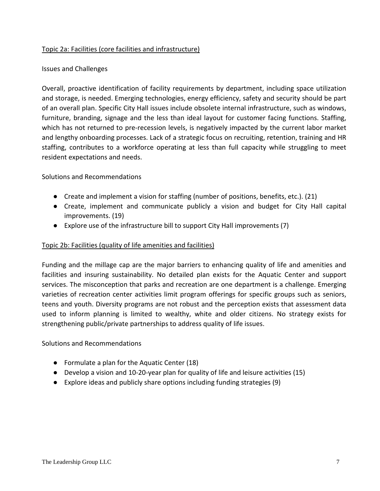### Topic 2a: Facilities (core facilities and infrastructure)

### Issues and Challenges

Overall, proactive identification of facility requirements by department, including space utilization and storage, is needed. Emerging technologies, energy efficiency, safety and security should be part of an overall plan. Specific City Hall issues include obsolete internal infrastructure, such as windows, furniture, branding, signage and the less than ideal layout for customer facing functions. Staffing, which has not returned to pre-recession levels, is negatively impacted by the current labor market and lengthy onboarding processes. Lack of a strategic focus on recruiting, retention, training and HR staffing, contributes to a workforce operating at less than full capacity while struggling to meet resident expectations and needs.

### Solutions and Recommendations

- Create and implement a vision for staffing (number of positions, benefits, etc.). (21)
- Create, implement and communicate publicly a vision and budget for City Hall capital improvements. (19)
- Explore use of the infrastructure bill to support City Hall improvements (7)

### Topic 2b: Facilities (quality of life amenities and facilities)

Funding and the millage cap are the major barriers to enhancing quality of life and amenities and facilities and insuring sustainability. No detailed plan exists for the Aquatic Center and support services. The misconception that parks and recreation are one department is a challenge. Emerging varieties of recreation center activities limit program offerings for specific groups such as seniors, teens and youth. Diversity programs are not robust and the perception exists that assessment data used to inform planning is limited to wealthy, white and older citizens. No strategy exists for strengthening public/private partnerships to address quality of life issues.

### Solutions and Recommendations

- Formulate a plan for the Aquatic Center (18)
- Develop a vision and 10-20-year plan for quality of life and leisure activities (15)
- Explore ideas and publicly share options including funding strategies (9)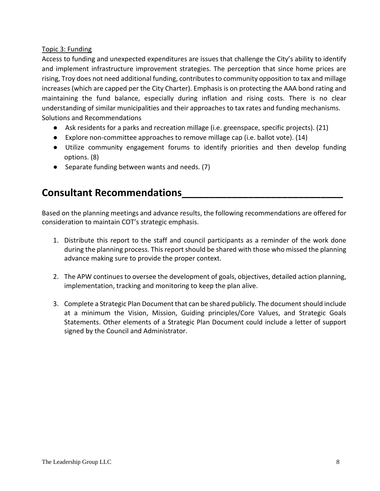### Topic 3: Funding

Access to funding and unexpected expenditures are issues that challenge the City's ability to identify and implement infrastructure improvement strategies. The perception that since home prices are rising, Troy does not need additional funding, contributes to community opposition to tax and millage increases (which are capped per the City Charter). Emphasis is on protecting the AAA bond rating and maintaining the fund balance, especially during inflation and rising costs. There is no clear understanding of similar municipalities and their approaches to tax rates and funding mechanisms. Solutions and Recommendations

- Ask residents for a parks and recreation millage (i.e. greenspace, specific projects). (21)
- Explore non-committee approaches to remove millage cap (i.e. ballot vote). (14)
- Utilize community engagement forums to identify priorities and then develop funding options. (8)
- Separate funding between wants and needs. (7)

# **Consultant Recommendations\_\_\_\_\_\_\_\_\_\_\_\_\_\_\_\_\_\_\_\_\_\_\_\_\_\_\_\_\_**

Based on the planning meetings and advance results, the following recommendations are offered for consideration to maintain COT's strategic emphasis.

- 1. Distribute this report to the staff and council participants as a reminder of the work done during the planning process. This report should be shared with those who missed the planning advance making sure to provide the proper context.
- 2. The APW continues to oversee the development of goals, objectives, detailed action planning, implementation, tracking and monitoring to keep the plan alive.
- 3. Complete a Strategic Plan Document that can be shared publicly. The document should include at a minimum the Vision, Mission, Guiding principles/Core Values, and Strategic Goals Statements. Other elements of a Strategic Plan Document could include a letter of support signed by the Council and Administrator.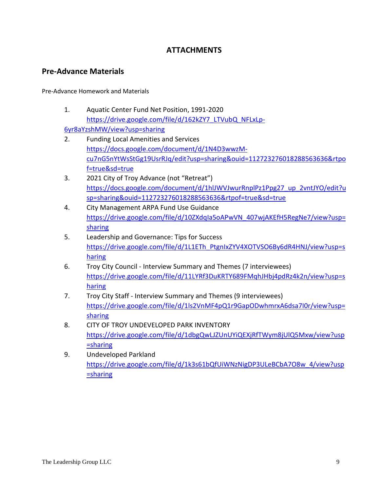### **ATTACHMENTS**

### **Pre-Advance Materials**

Pre-Advance Homework and Materials

1. Aquatic Center Fund Net Position, 1991-2020 [https://drive.google.com/file/d/162kZY7\\_LTVubQ\\_NFLxLp-](https://drive.google.com/file/d/162kZY7_LTVubQ_NFLxLp-6yr8aYzshMW/view?usp=sharing)

[6yr8aYzshMW/view?usp=sharing](https://drive.google.com/file/d/162kZY7_LTVubQ_NFLxLp-6yr8aYzshMW/view?usp=sharing)

- 2. Funding Local Amenities and Services [https://docs.google.com/document/d/1N4D3wwzM](https://docs.google.com/document/d/1N4D3wwzM-cu7nG5nYtWsStGg19UsrRJq/edit?usp=sharing&ouid=112723276018288563636&rtpof=true&sd=true)[cu7nG5nYtWsStGg19UsrRJq/edit?usp=sharing&ouid=112723276018288563636&rtpo](https://docs.google.com/document/d/1N4D3wwzM-cu7nG5nYtWsStGg19UsrRJq/edit?usp=sharing&ouid=112723276018288563636&rtpof=true&sd=true) [f=true&sd=true](https://docs.google.com/document/d/1N4D3wwzM-cu7nG5nYtWsStGg19UsrRJq/edit?usp=sharing&ouid=112723276018288563636&rtpof=true&sd=true)
- 3. 2021 City of Troy Advance (not "Retreat") [https://docs.google.com/document/d/1hlJWVJwurRnplPz1Ppg27\\_up\\_2vntJYO/edit?u](https://docs.google.com/document/d/1hlJWVJwurRnplPz1Ppg27_up_2vntJYO/edit?usp=sharing&ouid=112723276018288563636&rtpof=true&sd=true) [sp=sharing&ouid=112723276018288563636&rtpof=true&sd=true](https://docs.google.com/document/d/1hlJWVJwurRnplPz1Ppg27_up_2vntJYO/edit?usp=sharing&ouid=112723276018288563636&rtpof=true&sd=true)
- 4. City Management ARPA Fund Use Guidance [https://drive.google.com/file/d/10ZXdqIa5oAPwVN\\_407wjAKEfH5RegNe7/view?usp=](https://drive.google.com/file/d/10ZXdqIa5oAPwVN_407wjAKEfH5RegNe7/view?usp=sharing) [sharing](https://drive.google.com/file/d/10ZXdqIa5oAPwVN_407wjAKEfH5RegNe7/view?usp=sharing)
- 5. Leadership and Governance: Tips for Success [https://drive.google.com/file/d/1L1ETh\\_PtgnIxZYV4XOTVSO6By6dR4HNJ/view?usp=s](https://drive.google.com/file/d/1L1ETh_PtgnIxZYV4XOTVSO6By6dR4HNJ/view?usp=sharing) [haring](https://drive.google.com/file/d/1L1ETh_PtgnIxZYV4XOTVSO6By6dR4HNJ/view?usp=sharing)
- 6. Troy City Council Interview Summary and Themes (7 interviewees) [https://drive.google.com/file/d/11LYRf3DuKRTY689FMqhJHbj4pdRz4k2n/view?usp=s](https://drive.google.com/file/d/11LYRf3DuKRTY689FMqhJHbj4pdRz4k2n/view?usp=sharing) [haring](https://drive.google.com/file/d/11LYRf3DuKRTY689FMqhJHbj4pdRz4k2n/view?usp=sharing)
- 7. Troy City Staff Interview Summary and Themes (9 interviewees) [https://drive.google.com/file/d/1ls2VnMF4pQ1r9GapODwhmrxA6dsa7I0r/view?usp=](https://drive.google.com/file/d/1ls2VnMF4pQ1r9GapODwhmrxA6dsa7I0r/view?usp=sharing) [sharing](https://drive.google.com/file/d/1ls2VnMF4pQ1r9GapODwhmrxA6dsa7I0r/view?usp=sharing)
- 8. CITY OF TROY UNDEVELOPED PARK INVENTORY [https://drive.google.com/file/d/1dbgQwLJZUnUYiQEXjRfTWym8jUlQ5Mxw/view?usp](https://drive.google.com/file/d/1dbgQwLJZUnUYiQEXjRfTWym8jUlQ5Mxw/view?usp=sharing) [=sharing](https://drive.google.com/file/d/1dbgQwLJZUnUYiQEXjRfTWym8jUlQ5Mxw/view?usp=sharing)
- 9. Undeveloped Parkland [https://drive.google.com/file/d/1k3s61bQfUiWNzNigDP3ULeBCbA7O8w\\_4/view?usp](https://drive.google.com/file/d/1k3s61bQfUiWNzNigDP3ULeBCbA7O8w_4/view?usp=sharing) [=sharing](https://drive.google.com/file/d/1k3s61bQfUiWNzNigDP3ULeBCbA7O8w_4/view?usp=sharing)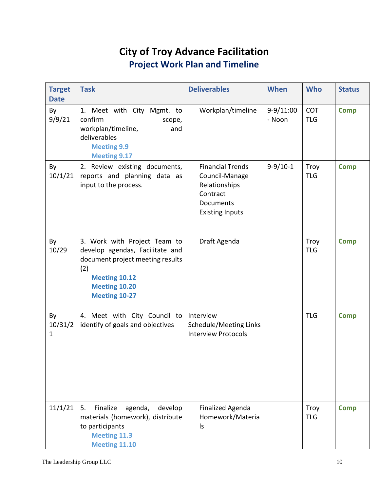# **City of Troy Advance Facilitation Project Work Plan and Timeline**

| <b>Target</b><br><b>Date</b>  | <b>Task</b>                                                                                                                                                                 | <b>Deliverables</b>                                                                                           | When                  | <b>Who</b>                | <b>Status</b> |
|-------------------------------|-----------------------------------------------------------------------------------------------------------------------------------------------------------------------------|---------------------------------------------------------------------------------------------------------------|-----------------------|---------------------------|---------------|
| By<br>9/9/21                  | 1. Meet with City Mgmt. to<br>confirm<br>scope,<br>workplan/timeline,<br>and<br>deliverables<br><b>Meeting 9.9</b><br><b>Meeting 9.17</b>                                   | Workplan/timeline                                                                                             | $9-9/11:00$<br>- Noon | <b>COT</b><br><b>TLG</b>  | <b>Comp</b>   |
| By<br>10/1/21                 | 2. Review existing documents,<br>reports and planning data as<br>input to the process.                                                                                      | <b>Financial Trends</b><br>Council-Manage<br>Relationships<br>Contract<br>Documents<br><b>Existing Inputs</b> | $9-9/10-1$            | <b>Troy</b><br><b>TLG</b> | <b>Comp</b>   |
| By<br>10/29                   | 3. Work with Project Team to<br>develop agendas, Facilitate and<br>document project meeting results<br>(2)<br>Meeting 10.12<br><b>Meeting 10.20</b><br><b>Meeting 10-27</b> | Draft Agenda                                                                                                  |                       | Troy<br><b>TLG</b>        | <b>Comp</b>   |
| By<br>10/31/2<br>$\mathbf{1}$ | 4. Meet with City Council to<br>identify of goals and objectives                                                                                                            | Interview<br>Schedule/Meeting Links<br><b>Interview Protocols</b>                                             |                       | <b>TLG</b>                | <b>Comp</b>   |
| 11/1/21                       | 5.<br>Finalize<br>agenda,<br>develop<br>materials (homework), distribute<br>to participants<br><b>Meeting 11.3</b><br><b>Meeting 11.10</b>                                  | <b>Finalized Agenda</b><br>Homework/Materia<br>ls                                                             |                       | Troy<br><b>TLG</b>        | <b>Comp</b>   |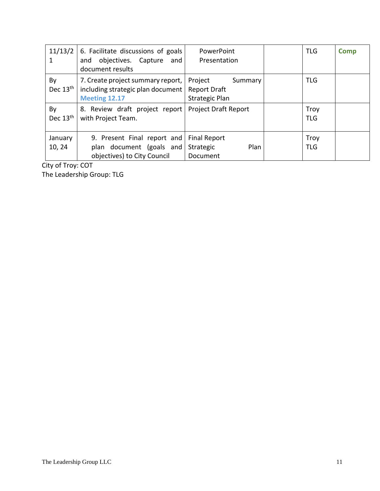|                   | 11/13/2   6. Facilitate discussions of goals<br>objectives. Capture and<br>and<br>document results | <b>PowerPoint</b><br>Presentation                                  | <b>TLG</b>         | <b>Comp</b> |
|-------------------|----------------------------------------------------------------------------------------------------|--------------------------------------------------------------------|--------------------|-------------|
| By<br>Dec $13th$  | 7. Create project summary report,<br>including strategic plan document<br>Meeting 12.17            | Project<br>Summary<br><b>Report Draft</b><br><b>Strategic Plan</b> | <b>TLG</b>         |             |
| By<br>Dec $13th$  | 8. Review draft project report<br>with Project Team.                                               | <b>Project Draft Report</b>                                        | Troy<br><b>TLG</b> |             |
| January<br>10, 24 | 9. Present Final report and<br>plan document (goals and<br>objectives) to City Council             | <b>Final Report</b><br>Plan<br>Strategic<br>Document               | Troy<br><b>TLG</b> |             |

City of Troy: COT

The Leadership Group: TLG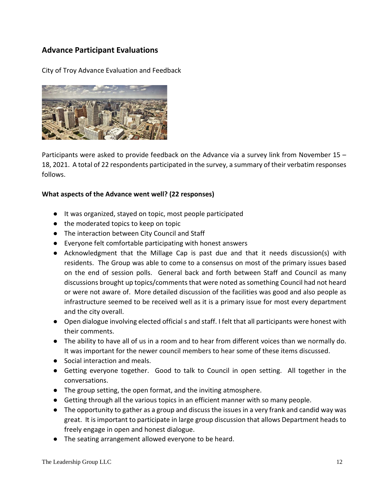### **Advance Participant Evaluations**

City of Troy Advance Evaluation and Feedback



Participants were asked to provide feedback on the Advance via a survey link from November 15 – 18, 2021. A total of 22 respondents participated in the survey, a summary of their verbatim responses follows.

#### **What aspects of the Advance went well? (22 responses)**

- It was organized, stayed on topic, most people participated
- the moderated topics to keep on topic
- The interaction between City Council and Staff
- Everyone felt comfortable participating with honest answers
- Acknowledgment that the Millage Cap is past due and that it needs discussion(s) with residents. The Group was able to come to a consensus on most of the primary issues based on the end of session polls. General back and forth between Staff and Council as many discussions brought up topics/comments that were noted as something Council had not heard or were not aware of. More detailed discussion of the facilities was good and also people as infrastructure seemed to be received well as it is a primary issue for most every department and the city overall.
- Open dialogue involving elected official s and staff. I felt that all participants were honest with their comments.
- The ability to have all of us in a room and to hear from different voices than we normally do. It was important for the newer council members to hear some of these items discussed.
- Social interaction and meals.
- Getting everyone together. Good to talk to Council in open setting. All together in the conversations.
- The group setting, the open format, and the inviting atmosphere.
- Getting through all the various topics in an efficient manner with so many people.
- The opportunity to gather as a group and discuss the issues in a very frank and candid way was great. It is important to participate in large group discussion that allows Department heads to freely engage in open and honest dialogue.
- The seating arrangement allowed everyone to be heard.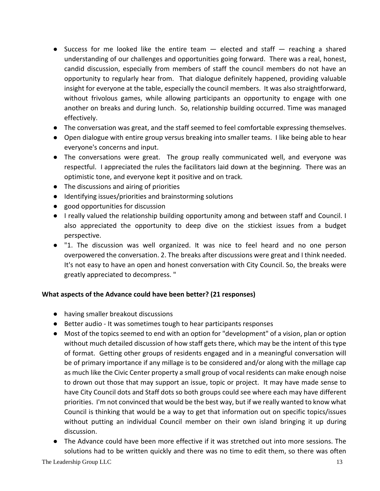- Success for me looked like the entire team  $-$  elected and staff  $-$  reaching a shared understanding of our challenges and opportunities going forward. There was a real, honest, candid discussion, especially from members of staff the council members do not have an opportunity to regularly hear from. That dialogue definitely happened, providing valuable insight for everyone at the table, especially the council members. It was also straightforward, without frivolous games, while allowing participants an opportunity to engage with one another on breaks and during lunch. So, relationship building occurred. Time was managed effectively.
- The conversation was great, and the staff seemed to feel comfortable expressing themselves.
- Open dialogue with entire group versus breaking into smaller teams. I like being able to hear everyone's concerns and input.
- The conversations were great. The group really communicated well, and everyone was respectful. I appreciated the rules the facilitators laid down at the beginning. There was an optimistic tone, and everyone kept it positive and on track.
- The discussions and airing of priorities
- Identifying issues/priorities and brainstorming solutions
- good opportunities for discussion
- I really valued the relationship building opportunity among and between staff and Council. I also appreciated the opportunity to deep dive on the stickiest issues from a budget perspective.
- "1. The discussion was well organized. It was nice to feel heard and no one person overpowered the conversation. 2. The breaks after discussions were great and I think needed. It's not easy to have an open and honest conversation with City Council. So, the breaks were greatly appreciated to decompress. "

### **What aspects of the Advance could have been better? (21 responses)**

- having smaller breakout discussions
- Better audio It was sometimes tough to hear participants responses
- Most of the topics seemed to end with an option for "development" of a vision, plan or option without much detailed discussion of how staff gets there, which may be the intent of this type of format. Getting other groups of residents engaged and in a meaningful conversation will be of primary importance if any millage is to be considered and/or along with the millage cap as much like the Civic Center property a small group of vocal residents can make enough noise to drown out those that may support an issue, topic or project. It may have made sense to have City Council dots and Staff dots so both groups could see where each may have different priorities. I'm not convinced that would be the best way, but if we really wanted to know what Council is thinking that would be a way to get that information out on specific topics/issues without putting an individual Council member on their own island bringing it up during discussion.
- The Advance could have been more effective if it was stretched out into more sessions. The solutions had to be written quickly and there was no time to edit them, so there was often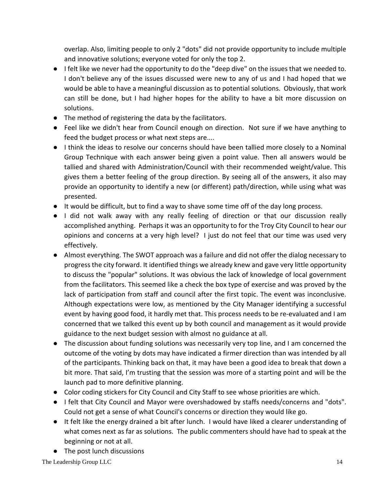overlap. Also, limiting people to only 2 "dots" did not provide opportunity to include multiple and innovative solutions; everyone voted for only the top 2.

- I felt like we never had the opportunity to do the "deep dive" on the issues that we needed to. I don't believe any of the issues discussed were new to any of us and I had hoped that we would be able to have a meaningful discussion as to potential solutions. Obviously, that work can still be done, but I had higher hopes for the ability to have a bit more discussion on solutions.
- The method of registering the data by the facilitators.
- Feel like we didn't hear from Council enough on direction. Not sure if we have anything to feed the budget process or what next steps are....
- I think the ideas to resolve our concerns should have been tallied more closely to a Nominal Group Technique with each answer being given a point value. Then all answers would be tallied and shared with Administration/Council with their recommended weight/value. This gives them a better feeling of the group direction. By seeing all of the answers, it also may provide an opportunity to identify a new (or different) path/direction, while using what was presented.
- It would be difficult, but to find a way to shave some time off of the day long process.
- I did not walk away with any really feeling of direction or that our discussion really accomplished anything. Perhaps it was an opportunity to for the Troy City Council to hear our opinions and concerns at a very high level? I just do not feel that our time was used very effectively.
- Almost everything. The SWOT approach was a failure and did not offer the dialog necessary to progress the city forward. It identified things we already knew and gave very little opportunity to discuss the "popular" solutions. It was obvious the lack of knowledge of local government from the facilitators. This seemed like a check the box type of exercise and was proved by the lack of participation from staff and council after the first topic. The event was inconclusive. Although expectations were low, as mentioned by the City Manager identifying a successful event by having good food, it hardly met that. This process needs to be re-evaluated and I am concerned that we talked this event up by both council and management as it would provide guidance to the next budget session with almost no guidance at all.
- The discussion about funding solutions was necessarily very top line, and I am concerned the outcome of the voting by dots may have indicated a firmer direction than was intended by all of the participants. Thinking back on that, it may have been a good idea to break that down a bit more. That said, I'm trusting that the session was more of a starting point and will be the launch pad to more definitive planning.
- Color coding stickers for City Council and City Staff to see whose priorities are which.
- I felt that City Council and Mayor were overshadowed by staffs needs/concerns and "dots". Could not get a sense of what Council's concerns or direction they would like go.
- It felt like the energy drained a bit after lunch. I would have liked a clearer understanding of what comes next as far as solutions. The public commenters should have had to speak at the beginning or not at all.
- The post lunch discussions

The Leadership Group LLC 14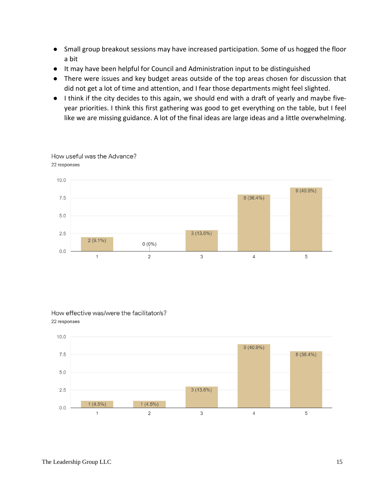- Small group breakout sessions may have increased participation. Some of us hogged the floor a bit
- It may have been helpful for Council and Administration input to be distinguished
- There were issues and key budget areas outside of the top areas chosen for discussion that did not get a lot of time and attention, and I fear those departments might feel slighted.
- I think if the city decides to this again, we should end with a draft of yearly and maybe fiveyear priorities. I think this first gathering was good to get everything on the table, but I feel like we are missing guidance. A lot of the final ideas are large ideas and a little overwhelming.



#### How useful was the Advance? 22 responses

#### How effective was/were the facilitator/s? 22 responses

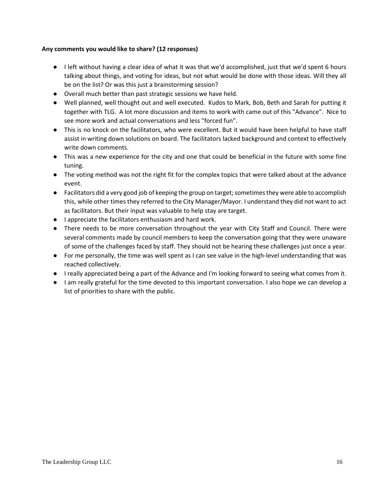#### **Any comments you would like to share? (12 responses)**

- I left without having a clear idea of what it was that we'd accomplished, just that we'd spent 6 hours talking about things, and voting for ideas, but not what would be done with those ideas. Will they all be on the list? Or was this just a brainstorming session?
- Overall much better than past strategic sessions we have held.
- Well planned, well thought out and well executed. Kudos to Mark, Bob, Beth and Sarah for putting it together with TLG. A lot more discussion and items to work with came out of this "Advance". Nice to see more work and actual conversations and less "forced fun".
- This is no knock on the facilitators, who were excellent. But it would have been helpful to have staff assist in writing down solutions on board. The facilitators lacked background and context to effectively write down comments.
- This was a new experience for the city and one that could be beneficial in the future with some fine tuning.
- The voting method was not the right fit for the complex topics that were talked about at the advance event.
- Facilitators did a very good job of keeping the group on target; sometimes they were able to accomplish this, while other times they referred to the City Manager/Mayor. I understand they did not want to act as facilitators. But their input was valuable to help stay are target.
- I appreciate the facilitators enthusiasm and hard work.
- There needs to be more conversation throughout the year with City Staff and Council. There were several comments made by council members to keep the conversation going that they were unaware of some of the challenges faced by staff. They should not be hearing these challenges just once a year.
- For me personally, the time was well spent as I can see value in the high-level understanding that was reached collectively.
- I really appreciated being a part of the Advance and I'm looking forward to seeing what comes from it.
- I am really grateful for the time devoted to this important conversation. I also hope we can develop a list of priorities to share with the public.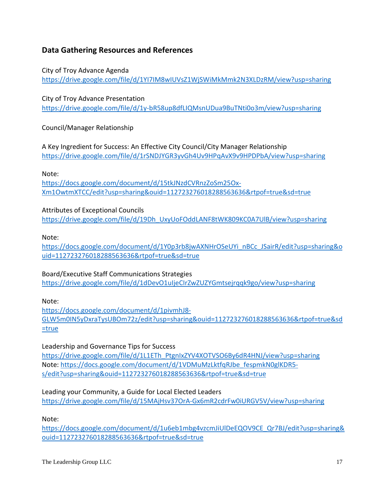### **Data Gathering Resources and References**

City of Troy Advance Agenda <https://drive.google.com/file/d/1YI7IM8wIUVsZ1WjSWiMkMmk2N3XLDzRM/view?usp=sharing>

City of Troy Advance Presentation <https://drive.google.com/file/d/1y-bR58up8dfLIQMsnUDua9BuTNti0o3m/view?usp=sharing>

Council/Manager Relationship

A Key Ingredient for Success: An Effective City Council/City Manager Relationship <https://drive.google.com/file/d/1rSNDJYGR3yvGh4Uv9HPqAvX9v9HPDPbA/view?usp=sharing>

Note:

[https://docs.google.com/document/d/15tkJNzdCVRnzZoSm25Ox-](https://docs.google.com/document/d/15tkJNzdCVRnzZoSm25Ox-Xm1OwtmXTCC/edit?usp=sharing&ouid=112723276018288563636&rtpof=true&sd=true)[Xm1OwtmXTCC/edit?usp=sharing&ouid=112723276018288563636&rtpof=true&sd=true](https://docs.google.com/document/d/15tkJNzdCVRnzZoSm25Ox-Xm1OwtmXTCC/edit?usp=sharing&ouid=112723276018288563636&rtpof=true&sd=true)

### Attributes of Exceptional Councils

[https://drive.google.com/file/d/19Dh\\_UxyUoFOddLANF8tWK809KC0A7UlB/view?usp=sharing](https://drive.google.com/file/d/19Dh_UxyUoFOddLANF8tWK809KC0A7UlB/view?usp=sharing)

#### Note:

[https://docs.google.com/document/d/1Y0p3rb8jwAXNHrOSeUYi\\_nBCc\\_JSairR/edit?usp=sharing&o](https://docs.google.com/document/d/1Y0p3rb8jwAXNHrOSeUYi_nBCc_JSairR/edit?usp=sharing&ouid=112723276018288563636&rtpof=true&sd=true) [uid=112723276018288563636&rtpof=true&sd=true](https://docs.google.com/document/d/1Y0p3rb8jwAXNHrOSeUYi_nBCc_JSairR/edit?usp=sharing&ouid=112723276018288563636&rtpof=true&sd=true)

### Board/Executive Staff Communications Strategies

<https://drive.google.com/file/d/1dDevO1uIjeCIrZwZUZYGmtsejrqqk9go/view?usp=sharing>

Note:

[https://docs.google.com/document/d/1pivmhJ8-](https://docs.google.com/document/d/1pivmhJ8-GLW5m0IN5yDxraTysUBOm72z/edit?usp=sharing&ouid=112723276018288563636&rtpof=true&sd=true) [GLW5m0IN5yDxraTysUBOm72z/edit?usp=sharing&ouid=112723276018288563636&rtpof=true&sd](https://docs.google.com/document/d/1pivmhJ8-GLW5m0IN5yDxraTysUBOm72z/edit?usp=sharing&ouid=112723276018288563636&rtpof=true&sd=true) [=true](https://docs.google.com/document/d/1pivmhJ8-GLW5m0IN5yDxraTysUBOm72z/edit?usp=sharing&ouid=112723276018288563636&rtpof=true&sd=true)

### Leadership and Governance Tips for Success

[https://drive.google.com/file/d/1L1ETh\\_PtgnIxZYV4XOTVSO6By6dR4HNJ/view?usp=sharing](https://drive.google.com/file/d/1L1ETh_PtgnIxZYV4XOTVSO6By6dR4HNJ/view?usp=sharing) Note: [https://docs.google.com/document/d/1VDMuMzLktfqRJbe\\_fespmkN0glKDR5](https://docs.google.com/document/d/1VDMuMzLktfqRJbe_fespmkN0glKDR5-s/edit?usp=sharing&ouid=112723276018288563636&rtpof=true&sd=true) [s/edit?usp=sharing&ouid=112723276018288563636&rtpof=true&sd=true](https://docs.google.com/document/d/1VDMuMzLktfqRJbe_fespmkN0glKDR5-s/edit?usp=sharing&ouid=112723276018288563636&rtpof=true&sd=true)

Leading your Community, a Guide for Local Elected Leaders <https://drive.google.com/file/d/15MAjHsv37OrA-Gx6mR2cdrFw0iURGV5V/view?usp=sharing>

Note:

[https://docs.google.com/document/d/1u6eb1mbg4vzcmJiUlDeEQOV9CE\\_Qr7BJ/edit?usp=sharing&](https://docs.google.com/document/d/1u6eb1mbg4vzcmJiUlDeEQOV9CE_Qr7BJ/edit?usp=sharing&ouid=112723276018288563636&rtpof=true&sd=true) [ouid=112723276018288563636&rtpof=true&sd=true](https://docs.google.com/document/d/1u6eb1mbg4vzcmJiUlDeEQOV9CE_Qr7BJ/edit?usp=sharing&ouid=112723276018288563636&rtpof=true&sd=true)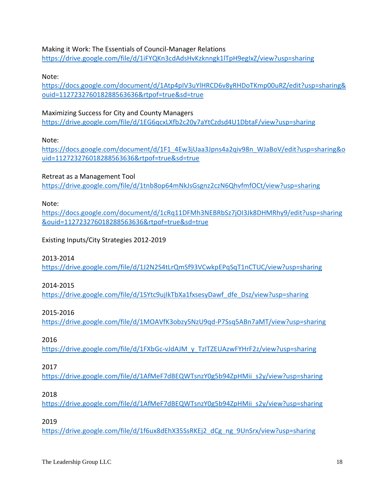Making it Work: The Essentials of Council-Manager Relations <https://drive.google.com/file/d/1iFYQKn3cdAdsHvKzknngk1lTpH9egIxZ/view?usp=sharing>

Note:

[https://docs.google.com/document/d/1Atp4pIV3uYlHRCD6v8yRHDoTKmp00uRZ/edit?usp=sharing&](https://docs.google.com/document/d/1Atp4pIV3uYlHRCD6v8yRHDoTKmp00uRZ/edit?usp=sharing&ouid=112723276018288563636&rtpof=true&sd=true) [ouid=112723276018288563636&rtpof=true&sd=true](https://docs.google.com/document/d/1Atp4pIV3uYlHRCD6v8yRHDoTKmp00uRZ/edit?usp=sharing&ouid=112723276018288563636&rtpof=true&sd=true)

Maximizing Success for City and County Managers <https://drive.google.com/file/d/1EG6qcxLXfb2c20y7aYtCzdsd4U1DbtaF/view?usp=sharing>

Note:

[https://docs.google.com/document/d/1F1\\_4Ew3jUaa3Jpns4a2qiv98n\\_WJaBoV/edit?usp=sharing&o](https://docs.google.com/document/d/1F1_4Ew3jUaa3Jpns4a2qiv98n_WJaBoV/edit?usp=sharing&ouid=112723276018288563636&rtpof=true&sd=true) [uid=112723276018288563636&rtpof=true&sd=true](https://docs.google.com/document/d/1F1_4Ew3jUaa3Jpns4a2qiv98n_WJaBoV/edit?usp=sharing&ouid=112723276018288563636&rtpof=true&sd=true)

Retreat as a Management Tool <https://drive.google.com/file/d/1tnb8op64mNkJsGsgnz2czN6QhvfmfOCt/view?usp=sharing>

Note:

[https://docs.google.com/document/d/1cRq11DFMh3NEBRbSz7jOI3Jk8DHMRhy9/edit?usp=sharing](https://docs.google.com/document/d/1cRq11DFMh3NEBRbSz7jOI3Jk8DHMRhy9/edit?usp=sharing&ouid=112723276018288563636&rtpof=true&sd=true) [&ouid=112723276018288563636&rtpof=true&sd=true](https://docs.google.com/document/d/1cRq11DFMh3NEBRbSz7jOI3Jk8DHMRhy9/edit?usp=sharing&ouid=112723276018288563636&rtpof=true&sd=true)

Existing Inputs/City Strategies 2012-2019

2013-2014

<https://drive.google.com/file/d/1J2N2S4tLrQmSf93VCwkpEPqSqT1nCTUC/view?usp=sharing>

2014-2015

[https://drive.google.com/file/d/1SYtc9ujIkTbXa1fxsesyDawf\\_dfe\\_Dsz/view?usp=sharing](https://drive.google.com/file/d/1SYtc9ujIkTbXa1fxsesyDawf_dfe_Dsz/view?usp=sharing)

2015-2016

<https://drive.google.com/file/d/1MOAVfK3obzy5NzU9qd-P7Ssq5ABn7aMT/view?usp=sharing>

2016

[https://drive.google.com/file/d/1FXbGc-vJdAJM\\_y\\_TzITZEUAzwFYHrF2z/view?usp=sharing](https://drive.google.com/file/d/1FXbGc-vJdAJM_y_TzITZEUAzwFYHrF2z/view?usp=sharing)

2017

[https://drive.google.com/file/d/1AfMeF7dBEQWTsnzY0g5b94ZpHMii\\_s2y/view?usp=sharing](https://drive.google.com/file/d/1AfMeF7dBEQWTsnzY0g5b94ZpHMii_s2y/view?usp=sharing)

2018

[https://drive.google.com/file/d/1AfMeF7dBEQWTsnzY0g5b94ZpHMii\\_s2y/view?usp=sharing](https://drive.google.com/file/d/1AfMeF7dBEQWTsnzY0g5b94ZpHMii_s2y/view?usp=sharing)

2019

[https://drive.google.com/file/d/1f6ux8dEhX35SsRKEj2\\_dCg\\_ng\\_9UnSrx/view?usp=sharing](https://drive.google.com/file/d/1f6ux8dEhX35SsRKEj2_dCg_ng_9UnSrx/view?usp=sharing)